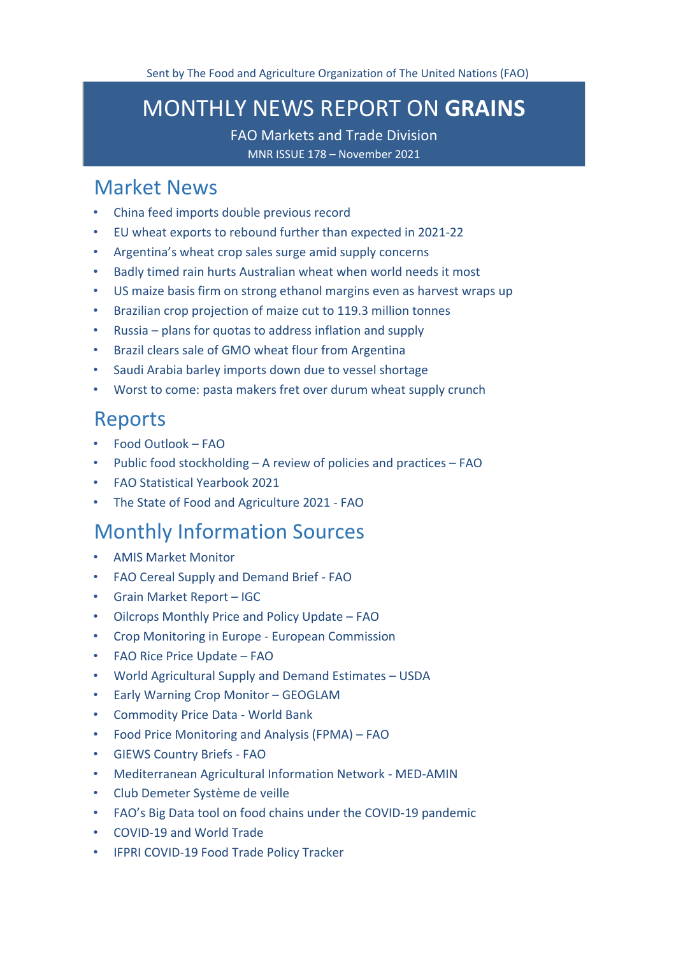# <span id="page-0-0"></span>MONTHLY NEWS REPORT ON **GRAINS**

FAO Markets and Trade Division MNR ISSUE 178 – November 2021

## [Market News](#page-1-0)

- [China feed imports double previous record](#page-1-1)
- [EU wheat exports to rebound further than expected in 2021-22](#page-1-2)
- [Argentina's wheat crop sales surge amid supply](#page-2-0) concerns
- [Badly timed rain hurts Australian wheat when world needs it most](#page-3-0)
- [US maize basis firm on strong ethanol margins even as harvest wraps up](#page-4-0)
- [Brazilian crop projection of maize cut to 119.3 million tonnes](#page-5-0)
- Russia [plans for quotas to address inflation and supply](#page-6-0)
- [Brazil clears sale of GMO wheat flour from Argentina](#page-9-0)
- Saudi Arabia barley imports down due to vessel shortage
- [Worst to come: pasta makers fret over durum wheat supply crunch](#page-9-1)

## [Reports](#page-11-0)

- [Food Outlook](#page-11-1)  FAO
- Public food stockholding [A review of policies and practices](#page-11-1)  FAO
- FAO [Statistical Yearbook 2021](#page-11-1)
- [The State of Food and Agriculture 2021 -](#page-11-1) FAO

## [Monthly Information Sources](#page-12-0)

- [AMIS Market](http://www.amis-outlook.org/amis-monitoring#.XoMGLIgzZPY) Monitor
- [FAO Cereal Supply and Demand Brief -](http://www.fao.org/worldfoodsituation/csdb/en/) FAO
- [Grain Market Report](http://www.igc.int/downloads/gmrsummary/gmrsumme.pdf) [–](http://www.igc.int/downloads/gmrsummary/gmrsumme.pdf) [IGC](http://www.igc.int/downloads/gmrsummary/gmrsumme.pdf)
- [Oilcrops Monthly Price and Policy Update](https://www.fao.org/3/cb7558en/cb7558en.pdf)  FAO
- [Crop Monitoring in Europe -](https://publications.jrc.ec.europa.eu/repository/handle/JRC124856) European Commission
- [FAO Rice Price Update](http://www.fao.org/economic/est/publications/rice-publications/the-fao-rice-price-update/it/)  FAO
- [World Agricultural Supply and Demand Estimates](https://www.usda.gov/oce/commodity/wasde/wasde1121.pdf)  USDA
- [Early Warning Crop Monitor](https://cropmonitor.org/index.php/cmreports/earlywarning-report/)  GEOGLAM
- [Commodity Price Data -](https://thedocs.worldbank.org/en/doc/5d903e848db1d1b83e0ec8f744e55570-0350012021/related/CMO-Pink-Sheet-November-2021.pdf) World Bank
- [Food Price Monitoring and Analysis \(FPMA\)](https://www.fao.org/documents/card/en/c/cb7590en)  FAO
- [GIEWS Country Briefs -](https://www.fao.org/giews/en/) [FAO](http://www.fao.org/giews/countrybrief/index.jsp)
- [Mediterranean Agricultural Information Network -](https://www.scoop.it/topic/med-amin) MED-AMIN
- [Club Demeter Système de](https://www.scoop.it/u/club-demeter) veille
- [FAO's Big Data tool on food chains under the COVID](http://www.fao.org/datalab/website/web/covid19)-19 pandemic
- [COVID-19 and World](https://www.wto.org/english/tratop_e/covid19_e/covid19_e.htm) Trade
- [IFPRI COVID-19 Food Trade Policy](https://www.ifpri.org/project/covid-19-food-trade-policy-tracker) Tracker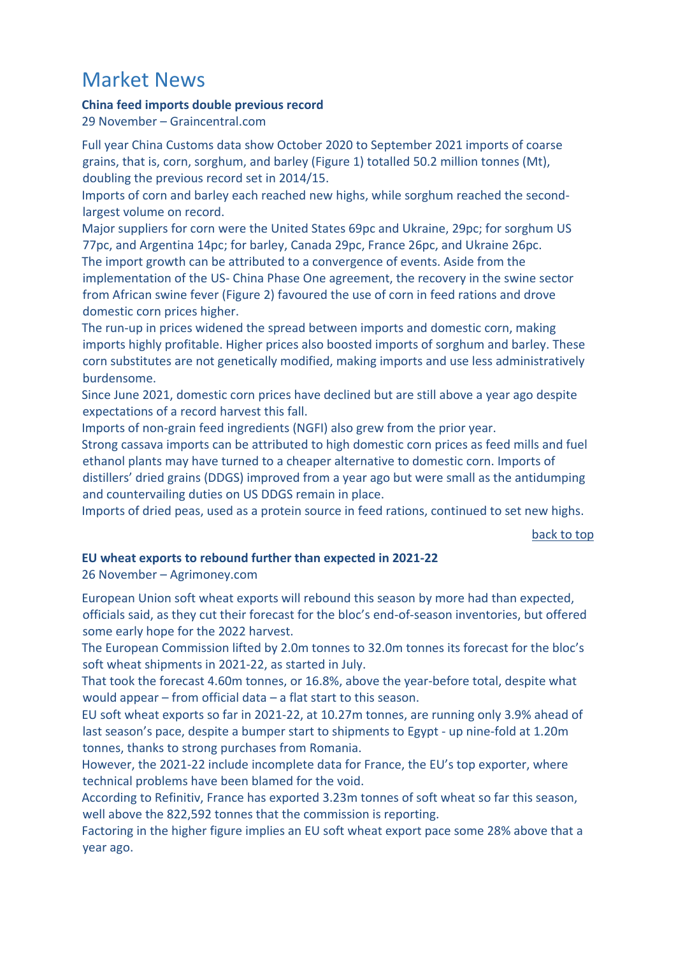## <span id="page-1-0"></span>Market News

### <span id="page-1-1"></span>**China feed imports double previous record**

29 November – Graincentral.com

Full year China Customs data show October 2020 to September 2021 imports of coarse grains, that is, corn, sorghum, and barley (Figure 1) totalled 50.2 million tonnes (Mt), doubling the previous record set in 2014/15.

Imports of corn and barley each reached new highs, while sorghum reached the secondlargest volume on record.

Major suppliers for corn were the United States 69pc and Ukraine, 29pc; for sorghum US 77pc, and Argentina 14pc; for barley, Canada 29pc, France 26pc, and Ukraine 26pc. The import growth can be attributed to a convergence of events. Aside from the implementation of the US- China Phase One agreement, the recovery in the swine sector from African swine fever (Figure 2) favoured the use of corn in feed rations and drove domestic corn prices higher.

The run-up in prices widened the spread between imports and domestic corn, making imports highly profitable. Higher prices also boosted imports of sorghum and barley. These corn substitutes are not genetically modified, making imports and use less administratively burdensome.

Since June 2021, domestic corn prices have declined but are still above a year ago despite expectations of a record harvest this fall.

Imports of non-grain feed ingredients (NGFI) also grew from the prior year.

Strong cassava imports can be attributed to high domestic corn prices as feed mills and fuel ethanol plants may have turned to a cheaper alternative to domestic corn. Imports of distillers' dried grains (DDGS) improved from a year ago but were small as the antidumping and countervailing duties on US DDGS remain in place.

Imports of dried peas, used as a protein source in feed rations, continued to set new highs.

[back to top](#page-0-0) 

### <span id="page-1-2"></span>**EU wheat exports to rebound further than expected in 2021-22**

26 November – Agrimoney.com

European Union soft wheat exports will rebound this season by more had than expected, officials said, as they cut their forecast for the bloc's end-of-season inventories, but offered some early hope for the 2022 harvest.

The European Commission lifted by 2.0m tonnes to 32.0m tonnes its forecast for the bloc's soft wheat shipments in 2021-22, as started in July.

That took the forecast 4.60m tonnes, or 16.8%, above the year-before total, despite what would appear – from official data – a flat start to this season.

EU soft wheat exports so far in 2021-22, at 10.27m tonnes, are running only 3.9% ahead of last season's pace, despite a bumper start to shipments to Egypt - up nine-fold at 1.20m tonnes, thanks to strong purchases from Romania.

However, the 2021-22 include incomplete data for France, the EU's top exporter, where technical problems have been blamed for the void.

According to Refinitiv, France has exported 3.23m tonnes of soft wheat so far this season, well above the 822,592 tonnes that the commission is reporting.

Factoring in the higher figure implies an EU soft wheat export pace some 28% above that a year ago.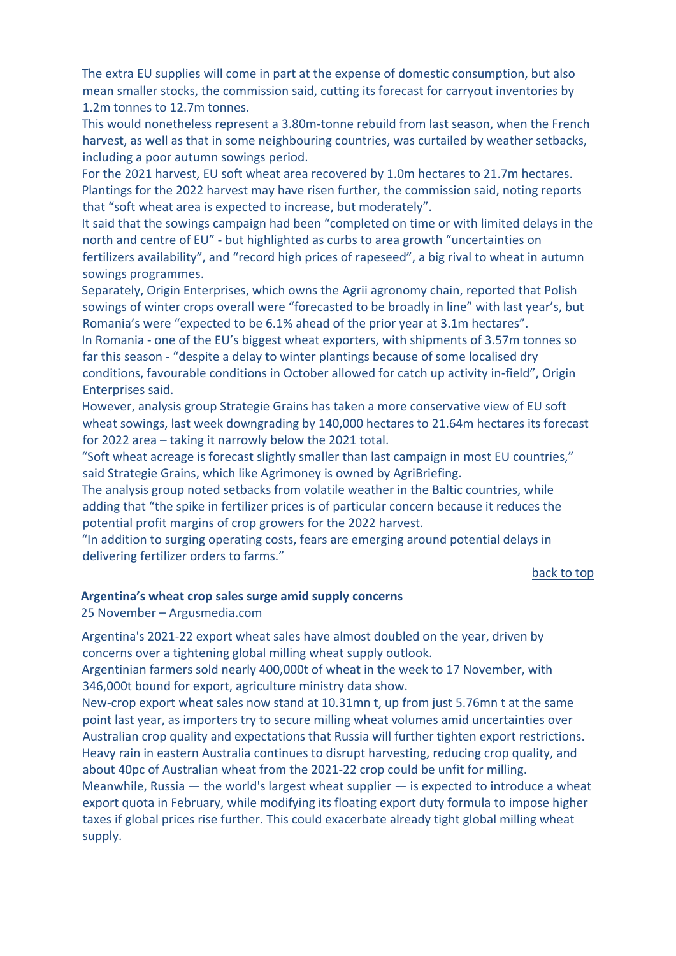The extra EU supplies will come in part at the expense of domestic consumption, but also mean smaller stocks, the commission said, cutting its forecast for carryout inventories by 1.2m tonnes to 12.7m tonnes.

This would nonetheless represent a 3.80m-tonne rebuild from last season, when the French harvest, as well as that in some neighbouring countries, was curtailed by weather setbacks, including a poor autumn sowings period.

For the 2021 harvest, EU soft wheat area recovered by 1.0m hectares to 21.7m hectares. Plantings for the 2022 harvest may have risen further, the commission said, noting reports that "soft wheat area is expected to increase, but moderately".

It said that the sowings campaign had been "completed on time or with limited delays in the north and centre of EU" - but highlighted as curbs to area growth "uncertainties on fertilizers availability", and "record high prices of rapeseed", a big rival to wheat in autumn sowings programmes.

Separately, Origin Enterprises, which owns the Agrii agronomy chain, reported that Polish sowings of winter crops overall were "forecasted to be broadly in line" with last year's, but Romania's were "expected to be 6.1% ahead of the prior year at 3.1m hectares".

In Romania - one of the EU's biggest wheat exporters, with shipments of 3.57m tonnes so far this season - "despite a delay to winter plantings because of some localised dry conditions, favourable conditions in October allowed for catch up activity in-field", Origin Enterprises said.

However, analysis group Strategie Grains has taken a more conservative view of EU soft wheat sowings, last week downgrading by 140,000 hectares to 21.64m hectares its forecast for 2022 area – taking it narrowly below the 2021 total.

"Soft wheat acreage is forecast slightly smaller than last campaign in most EU countries," said Strategie Grains, which like Agrimoney is owned by AgriBriefing.

The analysis group noted setbacks from volatile weather in the Baltic countries, while adding that "the spike in fertilizer prices is of particular concern because it reduces the potential profit margins of crop growers for the 2022 harvest.

"In addition to surging operating costs, fears are emerging around potential delays in delivering fertilizer orders to farms."

#### [back to top](#page-0-0)

#### <span id="page-2-0"></span>**Argentina's wheat crop sales surge amid supply concerns**

25 November – Argusmedia.com

Argentina's 2021-22 export wheat sales have almost doubled on the year, driven by concerns over a tightening global milling wheat supply outlook.

Argentinian farmers sold nearly 400,000t of wheat in the week to 17 November, with 346,000t bound for export, agriculture ministry data show.

New-crop export wheat sales now stand at 10.31mn t, up from just 5.76mn t at the same point last year, as importers try to secure milling wheat volumes amid uncertainties over Australian crop quality and expectations that Russia will further tighten export restrictions. Heavy rain in eastern Australia continues to disrupt harvesting, reducing crop quality, and about 40pc of Australian wheat from the 2021-22 crop could be unfit for milling. Meanwhile, Russia  $-$  the world's largest wheat supplier  $-$  is expected to introduce a wheat export quota in February, while modifying its floating export duty formula to impose higher taxes if global prices rise further. This could exacerbate already tight global milling wheat

supply.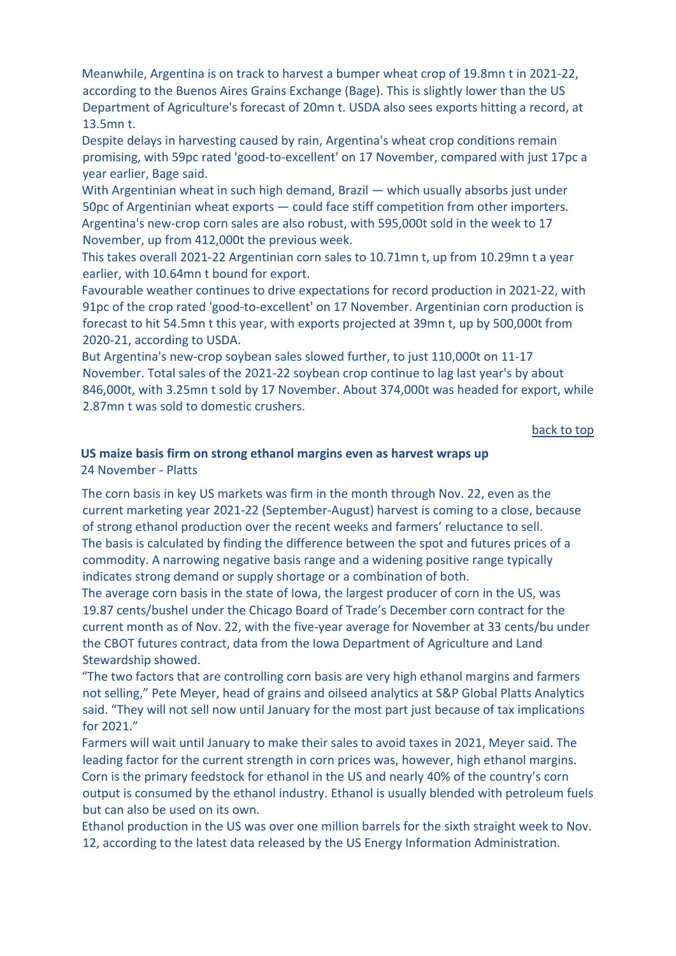Meanwhile, Argentina is on track to harvest a bumper wheat crop of 19.8mn t in 2021-22, according to the Buenos Aires Grains Exchange (Bage). This is slightly lower than the US Department of Agriculture's forecast of 20mn t. USDA also sees exports hitting a record, at 13.5mn t.

Despite delays in harvesting caused by rain, Argentina's wheat crop conditions remain promising, with 59pc rated 'good-to-excellent' on 17 November, compared with just 17pc a year earlier, Bage said.

With Argentinian wheat in such high demand, Brazil — which usually absorbs just under 50pc of Argentinian wheat exports — could face stiff competition from other importers. Argentina's new-crop corn sales are also robust, with 595,000t sold in the week to 17 November, up from 412,000t the previous week.

This takes overall 2021-22 Argentinian corn sales to 10.71mn t, up from 10.29mn t a year earlier, with 10.64mn t bound for export.

Favourable weather continues to drive expectations for record production in 2021-22, with 91pc of the crop rated 'good-to-excellent' on 17 November. Argentinian corn production is forecast to hit 54.5mn t this year, with exports projected at 39mn t, up by 500,000t from 2020-21, according to USDA.

But Argentina's new-crop soybean sales slowed further, to just 110,000t on 11-17 November. Total sales of the 2021-22 soybean crop continue to lag last year's by about 846,000t, with 3.25mn t sold by 17 November. About 374,000t was headed for export, while 2.87mn t was sold to domestic crushers.

[back to top](#page-0-0) 

#### <span id="page-3-0"></span>**US maize basis firm on strong ethanol margins even as harvest wraps up** 24 November - Platts

The corn basis in key US markets was firm in the month through Nov. 22, even as the current marketing year 2021-22 (September-August) harvest is coming to a close, because of strong ethanol production over the recent weeks and farmers' reluctance to sell. The basis is calculated by finding the difference between the spot and futures prices of a commodity. A narrowing negative basis range and a widening positive range typically indicates strong demand or supply shortage or a combination of both.

The average corn basis in the state of Iowa, the largest producer of corn in the US, was 19.87 cents/bushel under the Chicago Board of Trade's December corn contract for the current month as of Nov. 22, with the five-year average for November at 33 cents/bu under the CBOT futures contract, data from the Iowa Department of Agriculture and Land Stewardship showed.

"The two factors that are controlling corn basis are very high ethanol margins and farmers not selling," Pete Meyer, head of grains and oilseed analytics at S&P Global Platts Analytics said. "They will not sell now until January for the most part just because of tax implications for 2021."

Farmers will wait until January to make their sales to avoid taxes in 2021, Meyer said. The leading factor for the current strength in corn prices was, however, high ethanol margins. Corn is the primary feedstock for ethanol in the US and nearly 40% of the country's corn output is consumed by the ethanol industry. Ethanol is usually blended with petroleum fuels but can also be used on its own.

Ethanol production in the US was over one million barrels for the sixth straight week to Nov. 12, according to the latest data released by the US Energy Information Administration.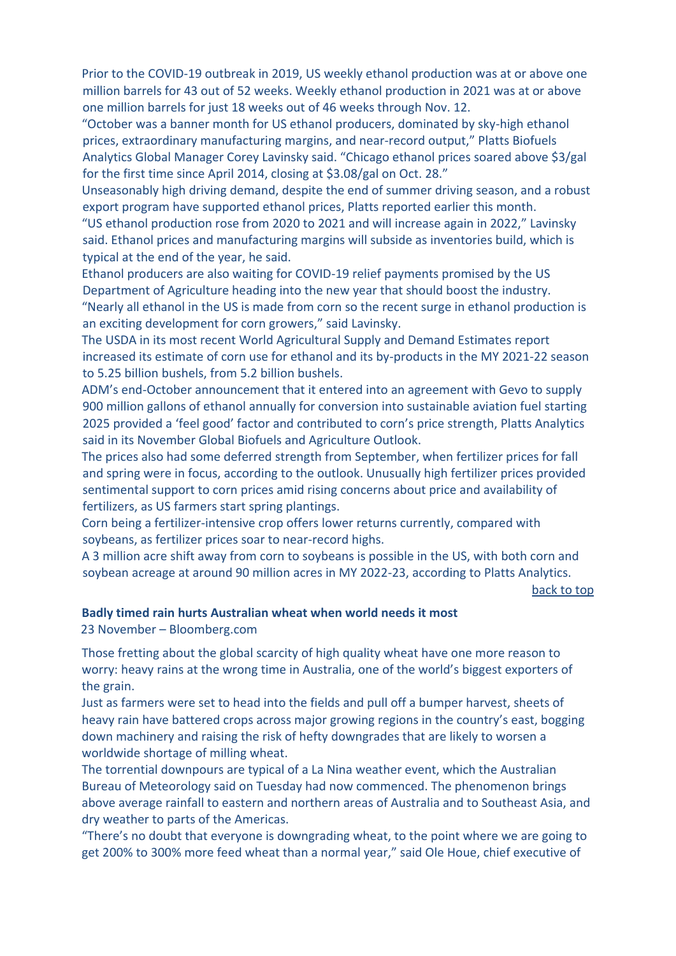Prior to the COVID-19 outbreak in 2019, US weekly ethanol production was at or above one million barrels for 43 out of 52 weeks. Weekly ethanol production in 2021 was at or above one million barrels for just 18 weeks out of 46 weeks through Nov. 12.

"October was a banner month for US ethanol producers, dominated by sky-high ethanol prices, extraordinary manufacturing margins, and near-record output," Platts Biofuels Analytics Global Manager Corey Lavinsky said. "Chicago ethanol prices soared above \$3/gal for the first time since April 2014, closing at \$3.08/gal on Oct. 28."

Unseasonably high driving demand, despite the end of summer driving season, and a robust export program have supported ethanol prices, Platts reported earlier this month.

"US ethanol production rose from 2020 to 2021 and will increase again in 2022," Lavinsky said. Ethanol prices and manufacturing margins will subside as inventories build, which is typical at the end of the year, he said.

Ethanol producers are also waiting for COVID-19 relief payments promised by the US Department of Agriculture heading into the new year that should boost the industry. "Nearly all ethanol in the US is made from corn so the recent surge in ethanol production is an exciting development for corn growers," said Lavinsky.

The USDA in its most recent World Agricultural Supply and Demand Estimates report increased its estimate of corn use for ethanol and its by-products in the MY 2021-22 season to 5.25 billion bushels, from 5.2 billion bushels.

ADM's end-October announcement that it entered into an agreement with Gevo to supply 900 million gallons of ethanol annually for conversion into sustainable aviation fuel starting 2025 provided a 'feel good' factor and contributed to corn's price strength, Platts Analytics said in its November Global Biofuels and Agriculture Outlook.

The prices also had some deferred strength from September, when fertilizer prices for fall and spring were in focus, according to the outlook. Unusually high fertilizer prices provided sentimental support to corn prices amid rising concerns about price and availability of fertilizers, as US farmers start spring plantings.

Corn being a fertilizer-intensive crop offers lower returns currently, compared with soybeans, as fertilizer prices soar to near-record highs.

A 3 million acre shift away from corn to soybeans is possible in the US, with both corn and soybean acreage at around 90 million acres in MY 2022-23, according to Platts Analytics.

[back to top](#page-0-0) 

#### <span id="page-4-0"></span>**Badly timed rain hurts Australian wheat when world needs it most**

23 November – Bloomberg.com

Those fretting about the global scarcity of high quality wheat have one more reason to worry: heavy rains at the wrong time in Australia, one of the world's biggest exporters of the grain.

Just as farmers were set to head into the fields and pull off a bumper harvest, sheets of heavy rain have battered crops across major growing regions in the country's east, bogging down machinery and raising the risk of hefty downgrades that are likely to worsen a worldwide shortage of milling wheat.

The torrential downpours are typical of a La Nina weather event, which the Australian Bureau of Meteorology said on Tuesday had now commenced. The phenomenon brings above average rainfall to eastern and northern areas of Australia and to Southeast Asia, and dry weather to parts of the Americas.

"There's no doubt that everyone is downgrading wheat, to the point where we are going to get 200% to 300% more feed wheat than a normal year," said Ole Houe, chief executive of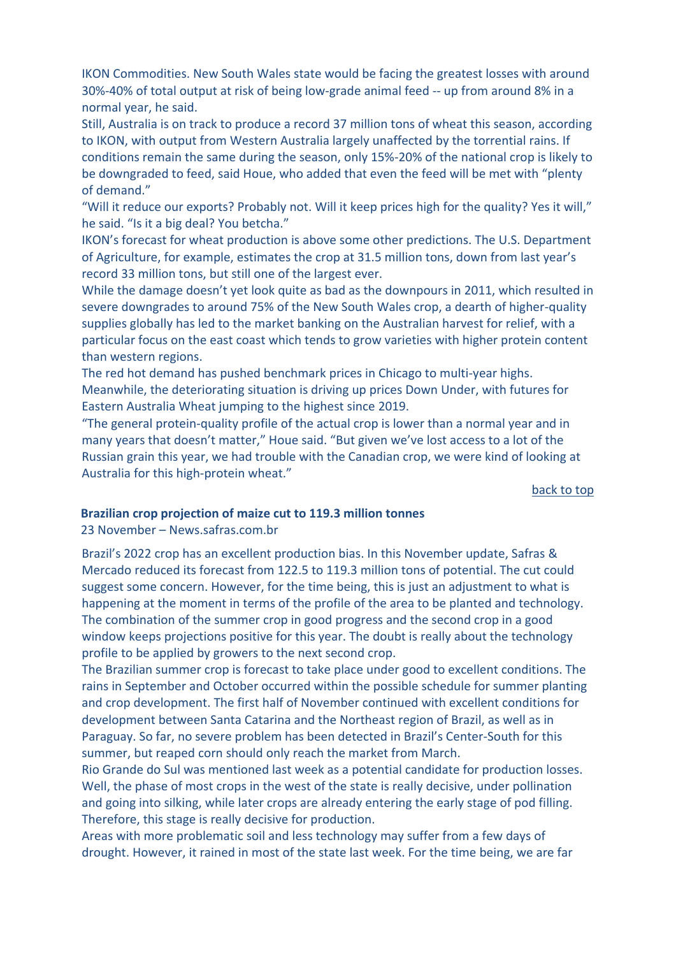IKON Commodities. New South Wales state would be facing the greatest losses with around 30%-40% of total output at risk of being low-grade animal feed -- up from around 8% in a normal year, he said.

Still, Australia is on track to produce a record 37 million tons of wheat this season, according to IKON, with output from Western Australia largely unaffected by the torrential rains. If conditions remain the same during the season, only 15%-20% of the national crop is likely to be downgraded to feed, said Houe, who added that even the feed will be met with "plenty of demand."

"Will it reduce our exports? Probably not. Will it keep prices high for the quality? Yes it will," he said. "Is it a big deal? You betcha."

IKON's forecast for wheat production is above some other predictions. The U.S. Department of Agriculture, for example, estimates the crop at 31.5 million tons, down from last year's record 33 million tons, but still one of the largest ever.

While the damage doesn't yet look quite as bad as the downpours in 2011, which resulted in severe downgrades to around 75% of the New South Wales crop, a dearth of higher-quality supplies globally has led to the market banking on the Australian harvest for relief, with a particular focus on the east coast which tends to grow varieties with higher protein content than western regions.

The red hot demand has pushed benchmark prices in Chicago to multi-year highs. Meanwhile, the deteriorating situation is driving up prices Down Under, with futures for Eastern Australia Wheat jumping to the highest since 2019.

"The general protein-quality profile of the actual crop is lower than a normal year and in many years that doesn't matter," Houe said. "But given we've lost access to a lot of the Russian grain this year, we had trouble with the Canadian crop, we were kind of looking at Australia for this high-protein wheat."

[back to top](#page-0-0) 

#### <span id="page-5-0"></span>**Brazilian crop projection of maize cut to 119.3 million tonnes**

23 November – News.safras.com.br

Brazil's 2022 crop has an excellent production bias. In this November update, Safras & Mercado reduced its forecast from 122.5 to 119.3 million tons of potential. The cut could suggest some concern. However, for the time being, this is just an adjustment to what is happening at the moment in terms of the profile of the area to be planted and technology. The combination of the summer crop in good progress and the second crop in a good window keeps projections positive for this year. The doubt is really about the technology profile to be applied by growers to the next second crop.

The Brazilian summer crop is forecast to take place under good to excellent conditions. The rains in September and October occurred within the possible schedule for summer planting and crop development. The first half of November continued with excellent conditions for development between Santa Catarina and the Northeast region of Brazil, as well as in Paraguay. So far, no severe problem has been detected in Brazil's Center-South for this summer, but reaped corn should only reach the market from March.

Rio Grande do Sul was mentioned last week as a potential candidate for production losses. Well, the phase of most crops in the west of the state is really decisive, under pollination and going into silking, while later crops are already entering the early stage of pod filling. Therefore, this stage is really decisive for production.

Areas with more problematic soil and less technology may suffer from a few days of drought. However, it rained in most of the state last week. For the time being, we are far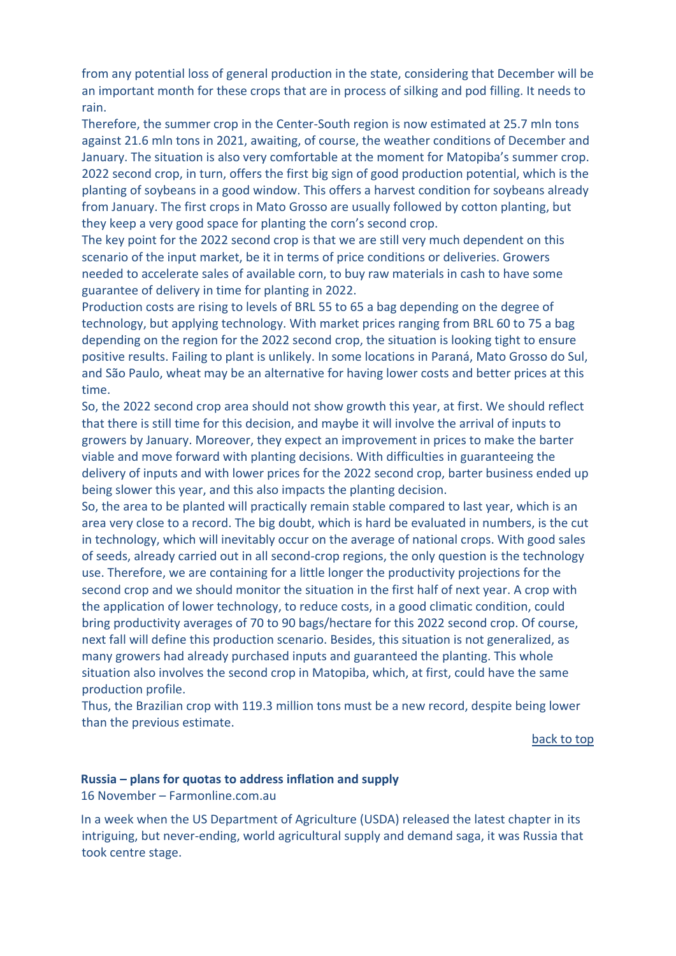from any potential loss of general production in the state, considering that December will be an important month for these crops that are in process of silking and pod filling. It needs to rain.

Therefore, the summer crop in the Center-South region is now estimated at 25.7 mln tons against 21.6 mln tons in 2021, awaiting, of course, the weather conditions of December and January. The situation is also very comfortable at the moment for Matopiba's summer crop. 2022 second crop, in turn, offers the first big sign of good production potential, which is the planting of soybeans in a good window. This offers a harvest condition for soybeans already from January. The first crops in Mato Grosso are usually followed by cotton planting, but they keep a very good space for planting the corn's second crop.

The key point for the 2022 second crop is that we are still very much dependent on this scenario of the input market, be it in terms of price conditions or deliveries. Growers needed to accelerate sales of available corn, to buy raw materials in cash to have some guarantee of delivery in time for planting in 2022.

Production costs are rising to levels of BRL 55 to 65 a bag depending on the degree of technology, but applying technology. With market prices ranging from BRL 60 to 75 a bag depending on the region for the 2022 second crop, the situation is looking tight to ensure positive results. Failing to plant is unlikely. In some locations in Paraná, Mato Grosso do Sul, and São Paulo, wheat may be an alternative for having lower costs and better prices at this time.

So, the 2022 second crop area should not show growth this year, at first. We should reflect that there is still time for this decision, and maybe it will involve the arrival of inputs to growers by January. Moreover, they expect an improvement in prices to make the barter viable and move forward with planting decisions. With difficulties in guaranteeing the delivery of inputs and with lower prices for the 2022 second crop, barter business ended up being slower this year, and this also impacts the planting decision.

So, the area to be planted will practically remain stable compared to last year, which is an area very close to a record. The big doubt, which is hard be evaluated in numbers, is the cut in technology, which will inevitably occur on the average of national crops. With good sales of seeds, already carried out in all second-crop regions, the only question is the technology use. Therefore, we are containing for a little longer the productivity projections for the second crop and we should monitor the situation in the first half of next year. A crop with the application of lower technology, to reduce costs, in a good climatic condition, could bring productivity averages of 70 to 90 bags/hectare for this 2022 second crop. Of course, next fall will define this production scenario. Besides, this situation is not generalized, as many growers had already purchased inputs and guaranteed the planting. This whole situation also involves the second crop in Matopiba, which, at first, could have the same production profile.

Thus, the Brazilian crop with 119.3 million tons must be a new record, despite being lower than the previous estimate.

[back to top](#page-0-0) 

#### <span id="page-6-0"></span>**Russia – plans for quotas to address inflation and supply**

16 November – Farmonline.com.au

In a week when the US Department of Agriculture (USDA) released the latest chapter in its intriguing, but never-ending, world agricultural supply and demand saga, it was Russia that took centre stage.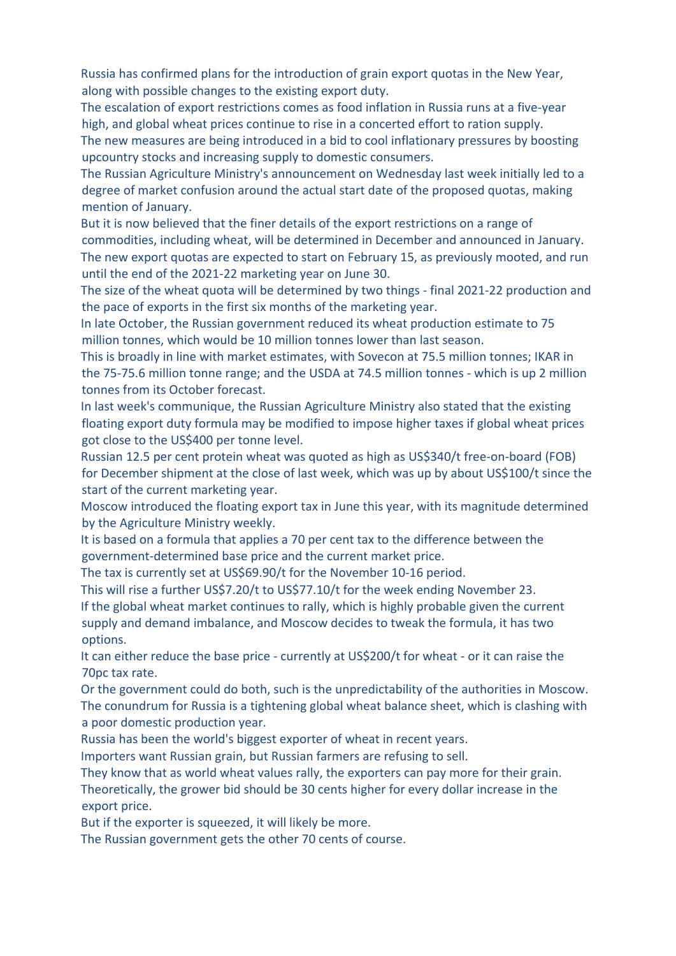Russia has confirmed plans for the introduction of grain export quotas in the New Year, along with possible changes to the existing export duty.

The escalation of export restrictions comes as food inflation in Russia runs at a five-year high, and global wheat prices continue to rise in a concerted effort to ration supply. The new measures are being introduced in a bid to cool inflationary pressures by boosting upcountry stocks and increasing supply to domestic consumers.

The Russian Agriculture Ministry's announcement on Wednesday last week initially led to a degree of market confusion around the actual start date of the proposed quotas, making mention of January.

But it is now believed that the finer details of the export restrictions on a range of commodities, including wheat, will be determined in December and announced in January. The new export quotas are expected to start on February 15, as previously mooted, and run until the end of the 2021-22 marketing year on June 30.

The size of the wheat quota will be determined by two things - final 2021-22 production and the pace of exports in the first six months of the marketing year.

In late October, the Russian government reduced its wheat production estimate to 75 million tonnes, which would be 10 million tonnes lower than last season.

This is broadly in line with market estimates, with Sovecon at 75.5 million tonnes; IKAR in the 75-75.6 million tonne range; and the USDA at 74.5 million tonnes - which is up 2 million tonnes from its October forecast.

In last week's communique, the Russian Agriculture Ministry also stated that the existing floating export duty formula may be modified to impose higher taxes if global wheat prices got close to the US\$400 per tonne level.

Russian 12.5 per cent protein wheat was quoted as high as US\$340/t free-on-board (FOB) for December shipment at the close of last week, which was up by about US\$100/t since the start of the current marketing year.

Moscow introduced the floating export tax in June this year, with its magnitude determined by the Agriculture Ministry weekly.

It is based on a formula that applies a 70 per cent tax to the difference between the government-determined base price and the current market price.

The tax is currently set at US\$69.90/t for the November 10-16 period.

This will rise a further US\$7.20/t to US\$77.10/t for the week ending November 23.

If the global wheat market continues to rally, which is highly probable given the current supply and demand imbalance, and Moscow decides to tweak the formula, it has two options.

It can either reduce the base price - currently at US\$200/t for wheat - or it can raise the 70pc tax rate.

Or the government could do both, such is the unpredictability of the authorities in Moscow. The conundrum for Russia is a tightening global wheat balance sheet, which is clashing with a poor domestic production year.

Russia has been the world's biggest exporter of wheat in recent years.

Importers want Russian grain, but Russian farmers are refusing to sell.

They know that as world wheat values rally, the exporters can pay more for their grain. Theoretically, the grower bid should be 30 cents higher for every dollar increase in the export price.

But if the exporter is squeezed, it will likely be more.

The Russian government gets the other 70 cents of course.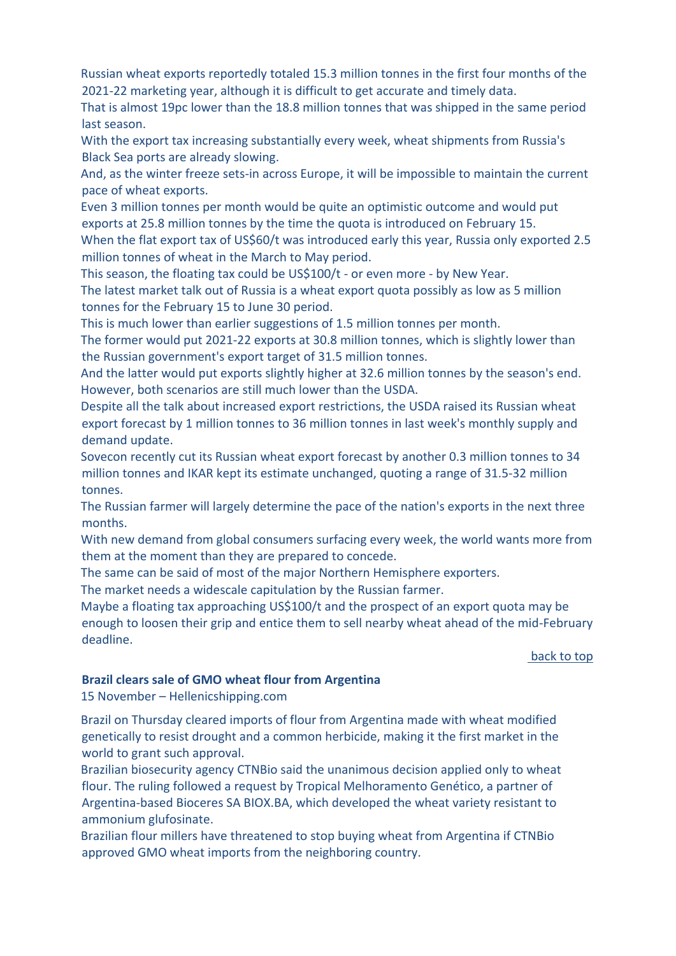Russian wheat exports reportedly totaled 15.3 million tonnes in the first four months of the 2021-22 marketing year, although it is difficult to get accurate and timely data.

That is almost 19pc lower than the 18.8 million tonnes that was shipped in the same period last season.

With the export tax increasing substantially every week, wheat shipments from Russia's Black Sea ports are already slowing.

And, as the winter freeze sets-in across Europe, it will be impossible to maintain the current pace of wheat exports.

Even 3 million tonnes per month would be quite an optimistic outcome and would put exports at 25.8 million tonnes by the time the quota is introduced on February 15.

When the flat export tax of US\$60/t was introduced early this year, Russia only exported 2.5 million tonnes of wheat in the March to May period.

This season, the floating tax could be US\$100/t - or even more - by New Year.

The latest market talk out of Russia is a wheat export quota possibly as low as 5 million tonnes for the February 15 to June 30 period.

This is much lower than earlier suggestions of 1.5 million tonnes per month.

The former would put 2021-22 exports at 30.8 million tonnes, which is slightly lower than the Russian government's export target of 31.5 million tonnes.

And the latter would put exports slightly higher at 32.6 million tonnes by the season's end. However, both scenarios are still much lower than the USDA.

Despite all the talk about increased export restrictions, the USDA raised its Russian wheat export forecast by 1 million tonnes to 36 million tonnes in last week's monthly supply and demand update.

Sovecon recently cut its Russian wheat export forecast by another 0.3 million tonnes to 34 million tonnes and IKAR kept its estimate unchanged, quoting a range of 31.5-32 million tonnes.

The Russian farmer will largely determine the pace of the nation's exports in the next three months.

With new demand from global consumers surfacing every week, the world wants more from them at the moment than they are prepared to concede.

The same can be said of most of the major Northern Hemisphere exporters.

The market needs a widescale capitulation by the Russian farmer.

Maybe a floating tax approaching US\$100/t and the prospect of an export quota may be enough to loosen their grip and entice them to sell nearby wheat ahead of the mid-February deadline.

#### [back to top](#page-0-0)

#### **Brazil clears sale of GMO wheat flour from Argentina**

15 November – Hellenicshipping.com

Brazil on Thursday cleared imports of flour from Argentina made with wheat modified genetically to resist drought and a common herbicide, making it the first market in the world to grant such approval.

Brazilian biosecurity agency CTNBio said the unanimous decision applied only to wheat flour. The ruling followed a request by Tropical Melhoramento Genético, a partner of Argentina-based Bioceres SA BIOX.BA, which developed the wheat variety resistant to ammonium glufosinate.

Brazilian flour millers have threatened to stop buying wheat from Argentina if CTNBio approved GMO wheat imports from the neighboring country.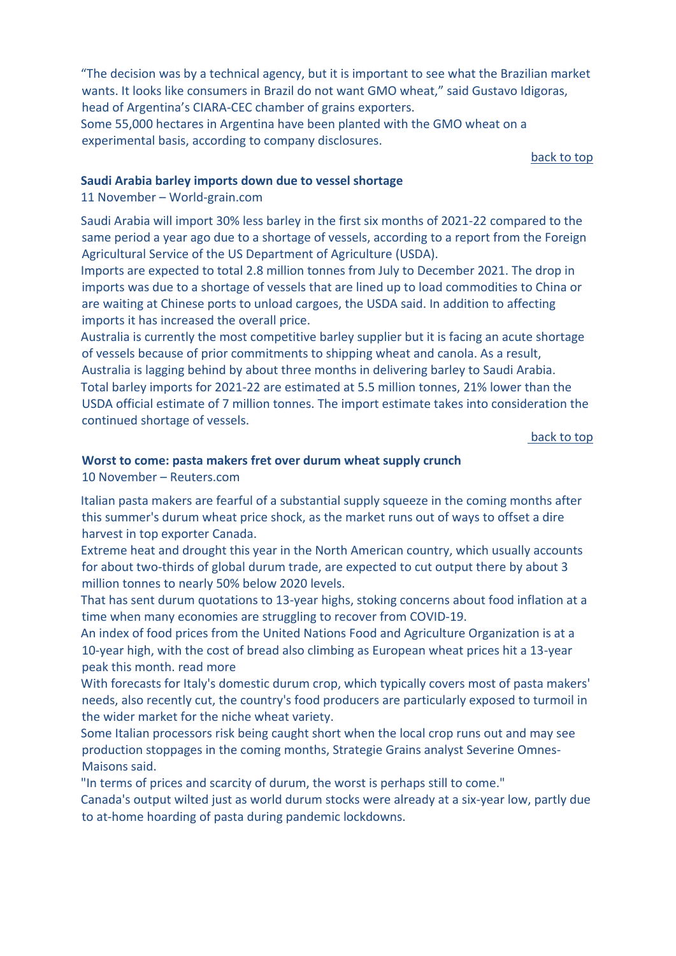"The decision was by a technical agency, but it is important to see what the Brazilian market wants. It looks like consumers in Brazil do not want GMO wheat," said Gustavo Idigoras, head of Argentina's CIARA-CEC chamber of grains exporters.

Some 55,000 hectares in Argentina have been planted with the GMO wheat on a experimental basis, according to company disclosures.

[back to top](#page-0-0) 

#### <span id="page-9-0"></span>**Saudi Arabia barley imports down due to vessel shortage**

11 November – World-grain.com

Saudi Arabia will import 30% less barley in the first six months of 2021-22 compared to the same period a year ago due to a shortage of vessels, according to a report from the Foreign Agricultural Service of the US Department of Agriculture (USDA).

Imports are expected to total 2.8 million tonnes from July to December 2021. The drop in imports was due to a shortage of vessels that are lined up to load commodities to China or are waiting at Chinese ports to unload cargoes, the USDA said. In addition to affecting imports it has increased the overall price.

Australia is currently the most competitive barley supplier but it is facing an acute shortage of vessels because of prior commitments to shipping wheat and canola. As a result, Australia is lagging behind by about three months in delivering barley to Saudi Arabia. Total barley imports for 2021-22 are estimated at 5.5 million tonnes, 21% lower than the USDA official estimate of 7 million tonnes. The import estimate takes into consideration the continued shortage of vessels.

[back to top](#page-0-0) 

### <span id="page-9-1"></span>**Worst to come: pasta makers fret over durum wheat supply crunch**

10 November – Reuters.com

Italian pasta makers are fearful of a substantial supply squeeze in the coming months after this summer's durum wheat price shock, as the market runs out of ways to offset a dire harvest in top exporter Canada.

Extreme heat and drought this year in the North American country, which usually accounts for about two-thirds of global durum trade, are expected to cut output there by about 3 million tonnes to nearly 50% below 2020 levels.

That has sent durum quotations to 13-year highs, stoking concerns about food inflation at a time when many economies are struggling to recover from COVID-19.

An index of food prices from the United Nations Food and Agriculture Organization is at a 10-year high, with the cost of bread also climbing as European wheat prices hit a 13-year peak this month. read more

With forecasts for Italy's domestic durum crop, which typically covers most of pasta makers' needs, also recently cut, the country's food producers are particularly exposed to turmoil in the wider market for the niche wheat variety.

Some Italian processors risk being caught short when the local crop runs out and may see production stoppages in the coming months, Strategie Grains analyst Severine Omnes-Maisons said.

"In terms of prices and scarcity of durum, the worst is perhaps still to come."

Canada's output wilted just as world durum stocks were already at a six-year low, partly due to at-home hoarding of pasta during pandemic lockdowns.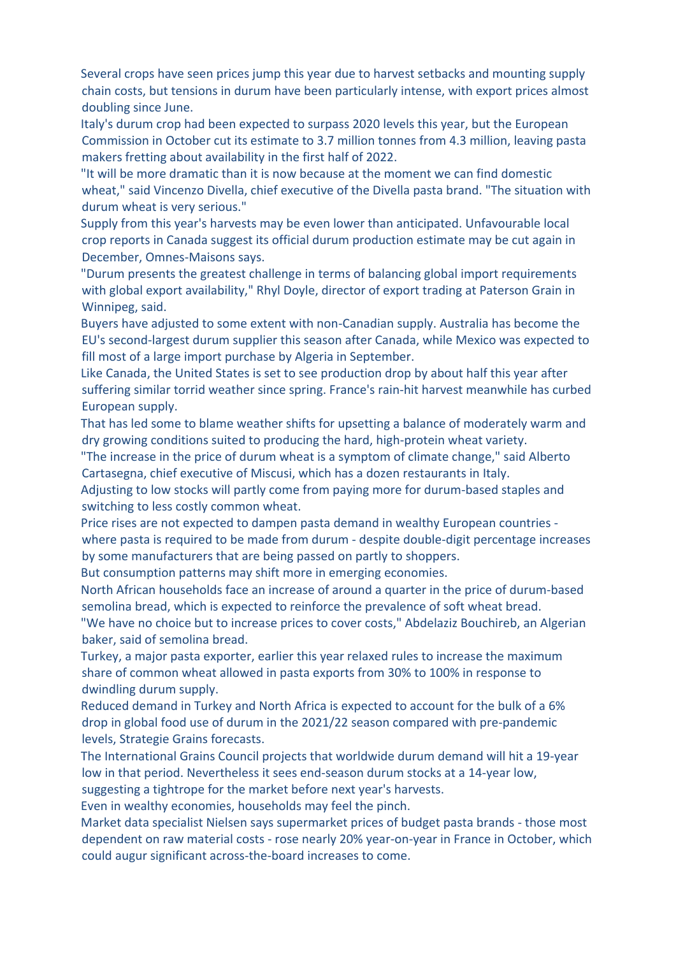Several crops have seen prices jump this year due to harvest setbacks and mounting supply chain costs, but tensions in durum have been particularly intense, with export prices almost doubling since June.

Italy's durum crop had been expected to surpass 2020 levels this year, but the European Commission in October cut its estimate to 3.7 million tonnes from 4.3 million, leaving pasta makers fretting about availability in the first half of 2022.

"It will be more dramatic than it is now because at the moment we can find domestic wheat," said Vincenzo Divella, chief executive of the Divella pasta brand. "The situation with durum wheat is very serious."

Supply from this year's harvests may be even lower than anticipated. Unfavourable local crop reports in Canada suggest its official durum production estimate may be cut again in December, Omnes-Maisons says.

"Durum presents the greatest challenge in terms of balancing global import requirements with global export availability," Rhyl Doyle, director of export trading at Paterson Grain in Winnipeg, said.

Buyers have adjusted to some extent with non-Canadian supply. Australia has become the EU's second-largest durum supplier this season after Canada, while Mexico was expected to fill most of a large import purchase by Algeria in September.

Like Canada, the United States is set to see production drop by about half this year after suffering similar torrid weather since spring. France's rain-hit harvest meanwhile has curbed European supply.

That has led some to blame weather shifts for upsetting a balance of moderately warm and dry growing conditions suited to producing the hard, high-protein wheat variety.

"The increase in the price of durum wheat is a symptom of climate change," said Alberto Cartasegna, chief executive of Miscusi, which has a dozen restaurants in Italy.

Adjusting to low stocks will partly come from paying more for durum-based staples and switching to less costly common wheat.

Price rises are not expected to dampen pasta demand in wealthy European countries where pasta is required to be made from durum - despite double-digit percentage increases by some manufacturers that are being passed on partly to shoppers.

But consumption patterns may shift more in emerging economies.

North African households face an increase of around a quarter in the price of durum-based semolina bread, which is expected to reinforce the prevalence of soft wheat bread.

"We have no choice but to increase prices to cover costs," Abdelaziz Bouchireb, an Algerian baker, said of semolina bread.

Turkey, a major pasta exporter, earlier this year relaxed rules to increase the maximum share of common wheat allowed in pasta exports from 30% to 100% in response to dwindling durum supply.

Reduced demand in Turkey and North Africa is expected to account for the bulk of a 6% drop in global food use of durum in the 2021/22 season compared with pre-pandemic levels, Strategie Grains forecasts.

The International Grains Council projects that worldwide durum demand will hit a 19-year low in that period. Nevertheless it sees end-season durum stocks at a 14-year low, suggesting a tightrope for the market before next year's harvests.

Even in wealthy economies, households may feel the pinch.

Market data specialist Nielsen says supermarket prices of budget pasta brands - those most dependent on raw material costs - rose nearly 20% year-on-year in France in October, which could augur significant across-the-board increases to come.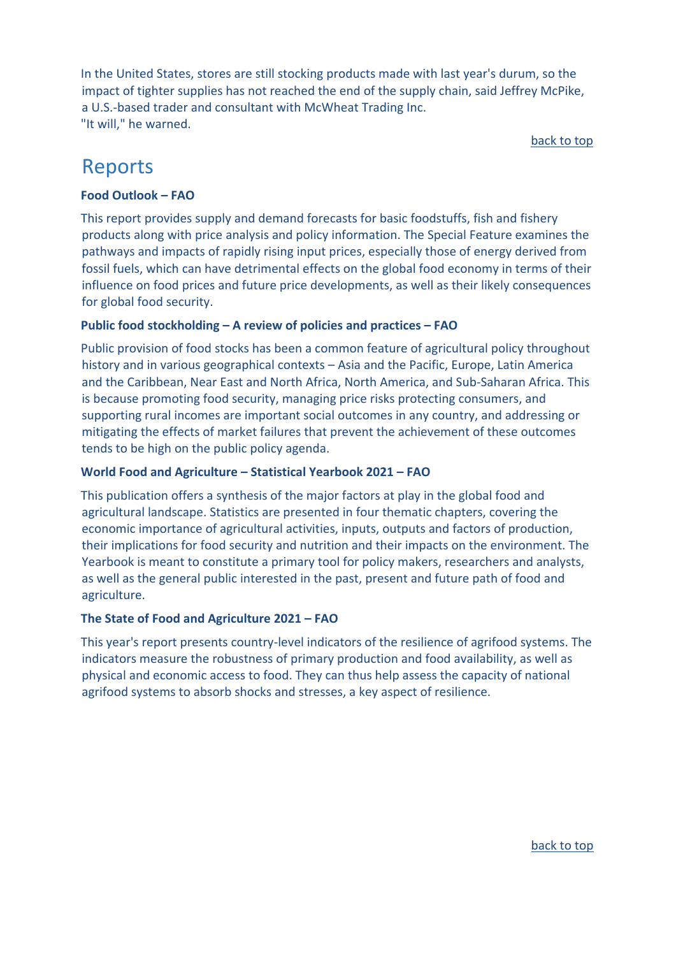In the United States, stores are still stocking products made with last year's durum, so the impact of tighter supplies has not reached the end of the supply chain, said Jeffrey McPike, a U.S.-based trader and consultant with McWheat Trading Inc. "It will," he warned.

[back to top](#page-0-0)

### <span id="page-11-0"></span>Reports

### **[Food Outlook](https://www.fao.org/documents/card/en/c/cb7491en) – FAO**

This report provides supply and demand forecasts for basic foodstuffs, fish and fishery products along with price analysis and policy information. The Special Feature examines the pathways and impacts of rapidly rising input prices, especially those of energy derived from fossil fuels, which can have detrimental effects on the global food economy in terms of their influence on food prices and future price developments, as well as their likely consequences for global food security.

#### <span id="page-11-1"></span>**Public food stockholding – [A review of policies and practices](https://www.fao.org/3/cb7146en/cb7146en.pdf) – FAO**

Public provision of food stocks has been a common feature of agricultural policy throughout history and in various geographical contexts – Asia and the Pacific, Europe, Latin America and the Caribbean, Near East and North Africa, North America, and Sub-Saharan Africa. This is because promoting food security, managing price risks protecting consumers, and supporting rural incomes are important social outcomes in any country, and addressing or mitigating the effects of market failures that prevent the achievement of these outcomes tends to be high on the public policy agenda.

### **[World Food and Agriculture](https://www.fao.org/documents/card/en/c/cb4477en/) – Statistical Yearbook 2021 – FAO**

This publication offers a synthesis of the major factors at play in the global food and agricultural landscape. Statistics are presented in four thematic chapters, covering the economic importance of agricultural activities, inputs, outputs and factors of production, their implications for food security and nutrition and their impacts on the environment. The Yearbook is meant to constitute a primary tool for policy makers, researchers and analysts, as well as the general public interested in the past, present and future path of food and agriculture.

#### **[The State of Food and Agriculture 2021](https://www.fao.org/documents/card/en/c/cb4476en) – FAO**

This year's report presents country-level indicators of the resilience of agrifood systems. The indicators measure the robustness of primary production and food availability, as well as physical and economic access to food. They can thus help assess the capacity of national agrifood systems to absorb shocks and stresses, a key aspect of resilience.

[back to top](#page-0-0)